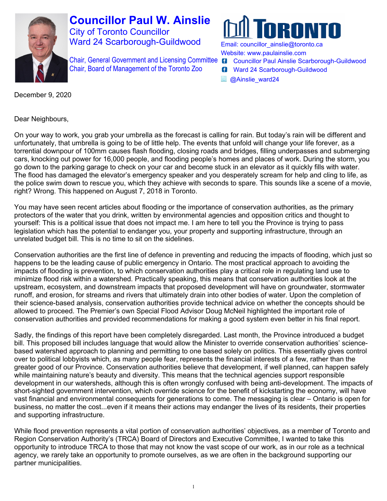

**Councillor Paul W. Ainslie** City of Toronto Councillor Ward 24 Scarborough-Guildwood

Chair, General Government and Licensing Committee Chair, Board of Management of the Toronto Zoo



Email: [councillor\\_ainslie@toronto.ca](mailto:councillor_ainslie@toronto.ca) Website: [www.paulainslie.com](http://www.paulainslie.com/)

- **6** Councillor Paul Ainslie Scarborough-Guildwood
- **6** Ward 24 Scarborough-Guildwood
- **a**Ainslie\_ward24

December 9, 2020

Dear Neighbours,

On your way to work, you grab your umbrella as the forecast is calling for rain. But today's rain will be different and unfortunately, that umbrella is going to be of little help. The events that unfold will change your life forever, as a torrential downpour of 100mm causes flash flooding, closing roads and bridges, filling underpasses and submerging cars, knocking out power for 16,000 people, and flooding people's homes and places of work. During the storm, you go down to the parking garage to check on your car and become stuck in an elevator as it quickly fills with water. The flood has damaged the elevator's emergency speaker and you desperately scream for help and cling to life, as the police swim down to rescue you, which they achieve with seconds to spare. This sounds like a scene of a movie, right? Wrong. This happened on August 7, 2018 in Toronto.

You may have seen recent articles about flooding or the importance of conservation authorities, as the primary protectors of the water that you drink, written by environmental agencies and opposition critics and thought to yourself: This is a political issue that does not impact me. I am here to tell you the Province is trying to pass legislation which has the potential to endanger you, your property and supporting infrastructure, through an unrelated budget bill. This is no time to sit on the sidelines.

Conservation authorities are the first line of defence in preventing and reducing the impacts of flooding, which just so happens to be the leading cause of public emergency in Ontario. The most practical approach to avoiding the impacts of flooding is prevention, to which conservation authorities play a critical role in regulating land use to minimize flood risk within a watershed. Practically speaking, this means that conservation authorities look at the upstream, ecosystem, and downstream impacts that proposed development will have on groundwater, stormwater runoff, and erosion, for streams and rivers that ultimately drain into other bodies of water. Upon the completion of their science-based analysis, conservation authorities provide technical advice on whether the concepts should be allowed to proceed. The Premier's own Special Flood Advisor Doug McNeil highlighted the important role of conservation authorities and provided recommendations for making a good system even better in his final report.

Sadly, the findings of this report have been completely disregarded. Last month, the Province introduced a budget bill. This proposed bill includes language that would allow the Minister to override conservation authorities' sciencebased watershed approach to planning and permitting to one based solely on politics. This essentially gives control over to political lobbyists which, as many people fear, represents the financial interests of a few, rather than the greater good of our Province. Conservation authorities believe that development, if well planned, can happen safely while maintaining nature's beauty and diversity. This means that the technical agencies support responsible development in our watersheds, although this is often wrongly confused with being anti-development. The impacts of short-sighted government intervention, which override science for the benefit of kickstarting the economy, will have vast financial and environmental consequents for generations to come. The messaging is clear – Ontario is open for business, no matter the cost...even if it means their actions may endanger the lives of its residents, their properties and supporting infrastructure.

While flood prevention represents a vital portion of conservation authorities' objectives, as a member of Toronto and Region Conservation Authority's (TRCA) Board of Directors and Executive Committee, I wanted to take this opportunity to introduce TRCA to those that may not know the vast scope of our work, as in our role as a technical agency, we rarely take an opportunity to promote ourselves, as we are often in the background supporting our partner municipalities.